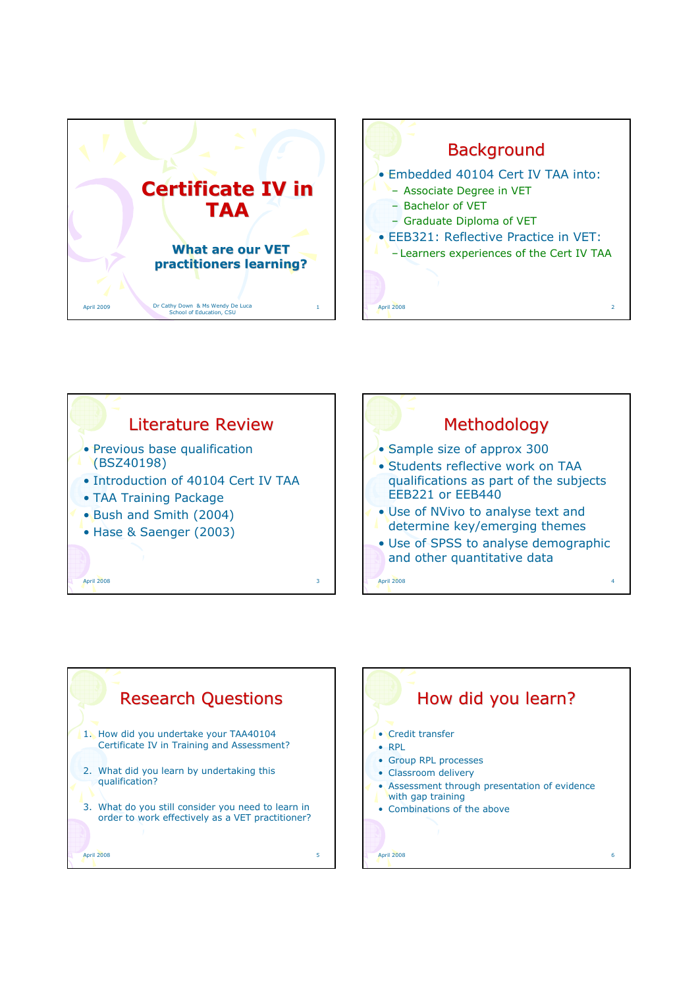